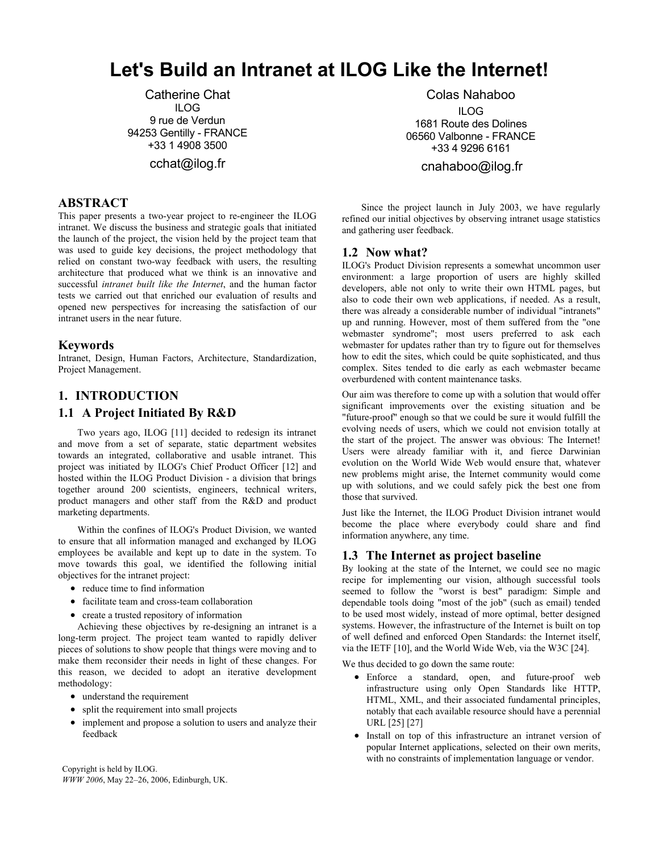# **Let's Build an Intranet at ILOG Like the Internet!**

Catherine Chat ILOG 9 rue de Verdun 94253 Gentilly - FRANCE +33 1 4908 3500

cchat@ilog.fr

# **ABSTRACT**

This paper presents a two-year project to re-engineer the ILOG intranet. We discuss the business and strategic goals that initiated the launch of the project, the vision held by the project team that was used to guide key decisions, the project methodology that relied on constant two-way feedback with users, the resulting architecture that produced what we think is an innovative and successful *intranet built like the Internet*, and the human factor tests we carried out that enriched our evaluation of results and opened new perspectives for increasing the satisfaction of our intranet users in the near future.

# **Keywords**

Intranet, Design, Human Factors, Architecture, Standardization, Project Management.

# **1. INTRODUCTION**

# **1.1 A Project Initiated By R&D**

Two years ago, ILOG [11] decided to redesign its intranet and move from a set of separate, static department websites towards an integrated, collaborative and usable intranet. This project was initiated by ILOG's Chief Product Officer [12] and hosted within the ILOG Product Division - a division that brings together around 200 scientists, engineers, technical writers, product managers and other staff from the R&D and product marketing departments.

Within the confines of ILOG's Product Division, we wanted to ensure that all information managed and exchanged by ILOG employees be available and kept up to date in the system. To move towards this goal, we identified the following initial objectives for the intranet project:

- reduce time to find information
- facilitate team and cross-team collaboration
- create a trusted repository of information

Achieving these objectives by re-designing an intranet is a long-term project. The project team wanted to rapidly deliver pieces of solutions to show people that things were moving and to make them reconsider their needs in light of these changes. For this reason, we decided to adopt an iterative development methodology:

- understand the requirement
- split the requirement into small projects
- implement and propose a solution to users and analyze their feedback

Colas Nahaboo ILOG 1681 Route des Dolines 06560 Valbonne - FRANCE +33 4 9296 6161

cnahaboo@ilog.fr

Since the project launch in July 2003, we have regularly refined our initial objectives by observing intranet usage statistics and gathering user feedback.

# **1.2 Now what?**

ILOG's Product Division represents a somewhat uncommon user environment: a large proportion of users are highly skilled developers, able not only to write their own HTML pages, but also to code their own web applications, if needed. As a result, there was already a considerable number of individual "intranets" up and running. However, most of them suffered from the "one webmaster syndrome"; most users preferred to ask each webmaster for updates rather than try to figure out for themselves how to edit the sites, which could be quite sophisticated, and thus complex. Sites tended to die early as each webmaster became overburdened with content maintenance tasks.

Our aim was therefore to come up with a solution that would offer significant improvements over the existing situation and be "future-proof" enough so that we could be sure it would fulfill the evolving needs of users, which we could not envision totally at the start of the project. The answer was obvious: The Internet! Users were already familiar with it, and fierce Darwinian evolution on the World Wide Web would ensure that, whatever new problems might arise, the Internet community would come up with solutions, and we could safely pick the best one from those that survived.

Just like the Internet, the ILOG Product Division intranet would become the place where everybody could share and find information anywhere, any time.

# **1.3 The Internet as project baseline**

By looking at the state of the Internet, we could see no magic recipe for implementing our vision, although successful tools seemed to follow the "worst is best" paradigm: Simple and dependable tools doing "most of the job" (such as email) tended to be used most widely, instead of more optimal, better designed systems. However, the infrastructure of the Internet is built on top of well defined and enforced Open Standards: the Internet itself, via the IETF [10], and the World Wide Web, via the W3C [24].

We thus decided to go down the same route:

- Enforce a standard, open, and future-proof web infrastructure using only Open Standards like HTTP, HTML, XML, and their associated fundamental principles, notably that each available resource should have a perennial URL [25] [27]
- Install on top of this infrastructure an intranet version of popular Internet applications, selected on their own merits, with no constraints of implementation language or vendor.

Copyright is held by ILOG. *WWW 2006*, May 22–26, 2006, Edinburgh, UK.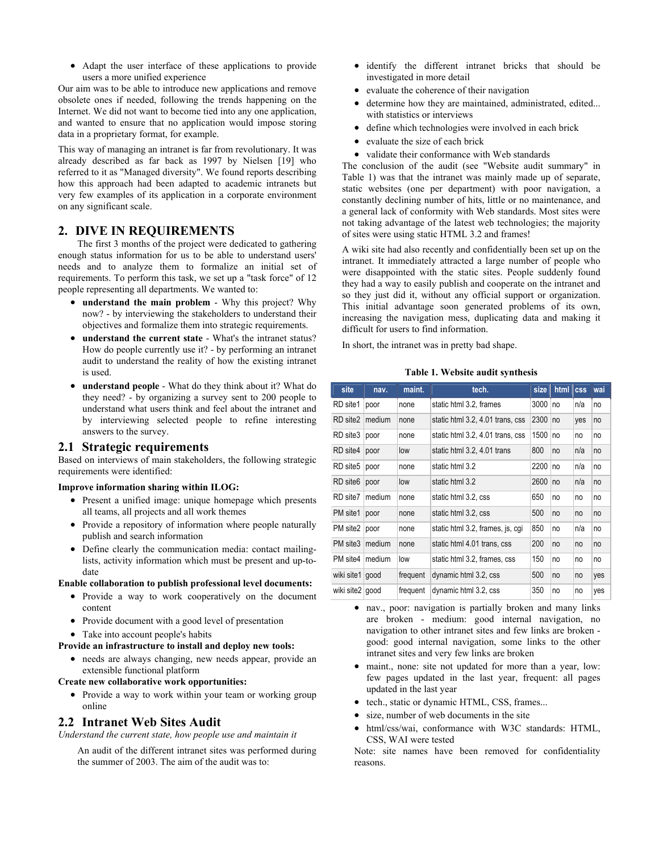• Adapt the user interface of these applications to provide users a more unified experience

Our aim was to be able to introduce new applications and remove obsolete ones if needed, following the trends happening on the Internet. We did not want to become tied into any one application, and wanted to ensure that no application would impose storing data in a proprietary format, for example.

This way of managing an intranet is far from revolutionary. It was already described as far back as 1997 by Nielsen [19] who referred to it as "Managed diversity". We found reports describing how this approach had been adapted to academic intranets but very few examples of its application in a corporate environment on any significant scale.

# **2. DIVE IN REQUIREMENTS**

The first 3 months of the project were dedicated to gathering enough status information for us to be able to understand users' needs and to analyze them to formalize an initial set of requirements. To perform this task, we set up a "task force" of 12 people representing all departments. We wanted to:

- **understand the main problem** Why this project? Why now? - by interviewing the stakeholders to understand their objectives and formalize them into strategic requirements.
- understand the current state What's the intranet status? How do people currently use it? - by performing an intranet audit to understand the reality of how the existing intranet is used.
- **understand people** What do they think about it? What do they need? - by organizing a survey sent to 200 people to understand what users think and feel about the intranet and by interviewing selected people to refine interesting answers to the survey.

# **2.1 Strategic requirements**

Based on interviews of main stakeholders, the following strategic requirements were identified:

#### **Improve information sharing within ILOG:**

- Present a unified image: unique homepage which presents all teams, all projects and all work themes
- Provide a repository of information where people naturally publish and search information
- Define clearly the communication media: contact mailinglists, activity information which must be present and up-todate

#### **Enable collaboration to publish professional level documents:**

- Provide a way to work cooperatively on the document content
- Provide document with a good level of presentation
- Take into account people's habits

#### **Provide an infrastructure to install and deploy new tools:**

• needs are always changing, new needs appear, provide an extensible functional platform

#### **Create new collaborative work opportunities:**

• Provide a way to work within your team or working group online

# **2.2 Intranet Web Sites Audit**

*Understand the current state, how people use and maintain it*

An audit of the different intranet sites was performed during the summer of 2003. The aim of the audit was to:

- identify the different intranet bricks that should be investigated in more detail
- evaluate the coherence of their navigation
- determine how they are maintained, administrated, edited... with statistics or interviews
- define which technologies were involved in each brick
- evaluate the size of each brick
- validate their conformance with Web standards

The conclusion of the audit (see "Website audit summary" in Table 1) was that the intranet was mainly made up of separate, static websites (one per department) with poor navigation, a constantly declining number of hits, little or no maintenance, and a general lack of conformity with Web standards. Most sites were not taking advantage of the latest web technologies; the majority of sites were using static HTML 3.2 and frames!

A wiki site had also recently and confidentially been set up on the intranet. It immediately attracted a large number of people who were disappointed with the static sites. People suddenly found they had a way to easily publish and cooperate on the intranet and so they just did it, without any official support or organization. This initial advantage soon generated problems of its own, increasing the navigation mess, duplicating data and making it difficult for users to find information.

In short, the intranet was in pretty bad shape.

#### **Table 1. Website audit synthesis**

| site                 | nav.   | maint.   | tech.                            | size | html | <b>CSS</b> | wai |
|----------------------|--------|----------|----------------------------------|------|------|------------|-----|
| RD site1             | poor   | none     | static html 3.2, frames          | 3000 | no   | n/a        | no  |
| RD site2             | medium | none     | static html 3.2, 4.01 trans, css | 2300 | no   | yes        | no  |
| RD site3             | poor   | none     | static html 3.2, 4.01 trans, css | 1500 | no   | no         | no  |
| RD site4             | poor   | low      | static html 3.2, 4.01 trans      | 800  | no   | n/a        | no  |
| RD site5             | poor   | none     | static html 3.2                  | 2200 | no   | n/a        | no  |
| RD site <sub>6</sub> | poor   | low      | static html 3.2                  | 2600 | no   | n/a        | no  |
| RD site7             | medium | none     | static html 3.2, css             | 650  | no   | no         | no  |
| PM site1             | poor   | none     | static html 3.2, css             | 500  | no   | no         | no  |
| PM site2             | poor   | none     | static html 3.2, frames, is, cgi | 850  | no   | n/a        | no  |
| PM site3             | medium | none     | static html 4.01 trans, css      | 200  | no   | no         | no  |
| PM site4             | medium | low      | static html 3.2, frames, css     | 150  | no   | no         | no  |
| wiki site1           | good   | frequent | dynamic html 3.2, css            | 500  | no   | no         | yes |
| wiki site2           | good   | frequent | dynamic html 3.2, css            | 350  | no   | no         | yes |

- nav., poor: navigation is partially broken and many links are broken - medium: good internal navigation, no navigation to other intranet sites and few links are broken good: good internal navigation, some links to the other intranet sites and very few links are broken
- maint., none: site not updated for more than a year, low: few pages updated in the last year, frequent: all pages updated in the last year
- tech., static or dynamic HTML, CSS, frames...
- size, number of web documents in the site
- html/css/wai, conformance with W3C standards: HTML, CSS, WAI were tested

Note: site names have been removed for confidentiality reasons.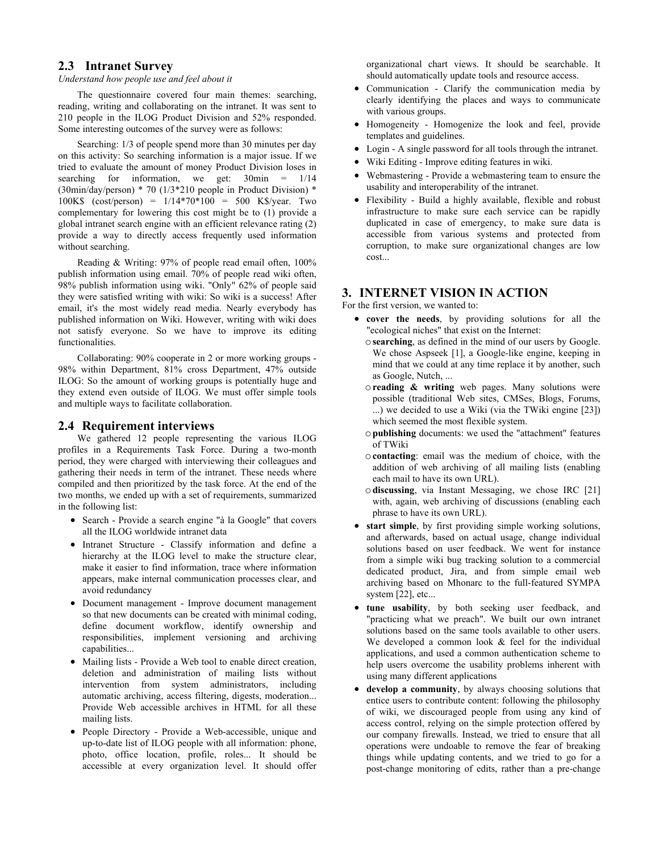# **2.3 Intranet Survey**

#### *Understand how people use and feel about it*

The questionnaire covered four main themes: searching, reading, writing and collaborating on the intranet. It was sent to 210 people in the ILOG Product Division and 52% responded. Some interesting outcomes of the survey were as follows:

Searching: 1/3 of people spend more than 30 minutes per day on this activity: So searching information is a major issue. If we tried to evaluate the amount of money Product Division loses in searching for information, we get:  $30$ min =  $1/14$ (30min/day/person) \* 70 (1/3\*210 people in Product Division) \* 100K\$ (cost/person) = 1/14\*70\*100 = 500 K\$/year. Two complementary for lowering this cost might be to (1) provide a global intranet search engine with an efficient relevance rating (2) provide a way to directly access frequently used information without searching.

Reading & Writing: 97% of people read email often, 100% publish information using email. 70% of people read wiki often, 98% publish information using wiki. "Only" 62% of people said they were satisfied writing with wiki: So wiki is a success! After email, it's the most widely read media. Nearly everybody has published information on Wiki. However, writing with wiki does not satisfy everyone. So we have to improve its editing functionalities.

Collaborating: 90% cooperate in 2 or more working groups - 98% within Department, 81% cross Department, 47% outside ILOG: So the amount of working groups is potentially huge and they extend even outside of ILOG. We must offer simple tools and multiple ways to facilitate collaboration.

#### **2.4 Requirement interviews**

We gathered 12 people representing the various ILOG profiles in a Requirements Task Force. During a two-month period, they were charged with interviewing their colleagues and gathering their needs in term of the intranet. These needs where compiled and then prioritized by the task force. At the end of the two months, we ended up with a set of requirements, summarized in the following list:

- Search Provide a search engine "à la Google" that covers all the ILOG worldwide intranet data
- Intranet Structure Classify information and define a hierarchy at the ILOG level to make the structure clear, make it easier to find information, trace where information appears, make internal communication processes clear, and avoid redundancy
- Document management Improve document management so that new documents can be created with minimal coding, define document workflow, identify ownership and responsibilities, implement versioning and archiving capabilities...
- Mailing lists Provide a Web tool to enable direct creation, deletion and administration of mailing lists without intervention from system administrators, including automatic archiving, access filtering, digests, moderation... Provide Web accessible archives in HTML for all these mailing lists.
- People Directory Provide a Web-accessible, unique and up-to-date list of ILOG people with all information: phone, photo, office location, profile, roles... It should be accessible at every organization level. It should offer

organizational chart views. It should be searchable. It should automatically update tools and resource access.

- Communication Clarify the communication media by clearly identifying the places and ways to communicate with various groups.
- Homogeneity Homogenize the look and feel, provide templates and guidelines.
- Login A single password for all tools through the intranet.
- Wiki Editing Improve editing features in wiki.
- Webmastering Provide a webmastering team to ensure the usability and interoperability of the intranet.
- Flexibility Build a highly available, flexible and robust infrastructure to make sure each service can be rapidly duplicated in case of emergency, to make sure data is accessible from various systems and protected from corruption, to make sure organizational changes are low cost...

## **3. INTERNET VISION IN ACTION**

For the first version, we wanted to:

- **cover the needs**, by providing solutions for all the "ecological niches" that exist on the Internet:
	- o**searching**, as defined in the mind of our users by Google. We chose Aspseek [1], a Google-like engine, keeping in mind that we could at any time replace it by another, such as Google, Nutch, ...
	- o**reading & writing** web pages. Many solutions were possible (traditional Web sites, CMSes, Blogs, Forums, ...) we decided to use a Wiki (via the TWiki engine [23]) which seemed the most flexible system.
	- o**publishing** documents: we used the "attachment" features of TWiki
	- o**contacting**: email was the medium of choice, with the addition of web archiving of all mailing lists (enabling each mail to have its own URL).
	- o**discussing**, via Instant Messaging, we chose IRC [21] with, again, web archiving of discussions (enabling each phrase to have its own URL).
- **start simple**, by first providing simple working solutions, and afterwards, based on actual usage, change individual solutions based on user feedback. We went for instance from a simple wiki bug tracking solution to a commercial dedicated product, Jira, and from simple email web archiving based on Mhonarc to the full-featured SYMPA system [22], etc...
- **tune usability**, by both seeking user feedback, and "practicing what we preach". We built our own intranet solutions based on the same tools available to other users. We developed a common look  $\&$  feel for the individual applications, and used a common authentication scheme to help users overcome the usability problems inherent with using many different applications
- **develop a community**, by always choosing solutions that entice users to contribute content: following the philosophy of wiki, we discouraged people from using any kind of access control, relying on the simple protection offered by our company firewalls. Instead, we tried to ensure that all operations were undoable to remove the fear of breaking things while updating contents, and we tried to go for a post-change monitoring of edits, rather than a pre-change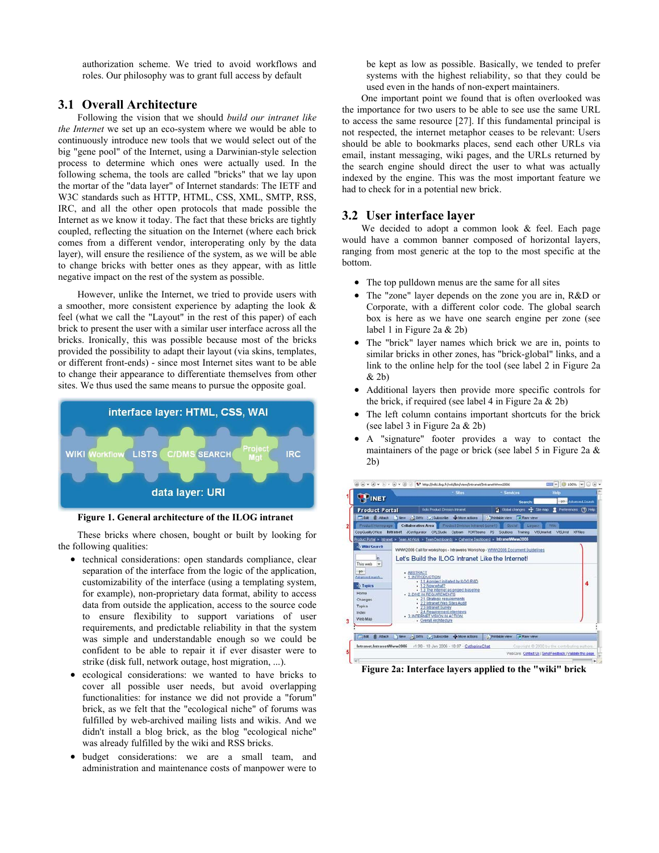authorization scheme. We tried to avoid workflows and roles. Our philosophy was to grant full access by default

### **3.1 Overall Architecture**

Following the vision that we should *build our intranet like the Internet* we set up an eco-system where we would be able to continuously introduce new tools that we would select out of the big "gene pool" of the Internet, using a Darwinian-style selection process to determine which ones were actually used. In the following schema, the tools are called "bricks" that we lay upon the mortar of the "data layer" of Internet standards: The IETF and W3C standards such as HTTP, HTML, CSS, XML, SMTP, RSS, IRC, and all the other open protocols that made possible the Internet as we know it today. The fact that these bricks are tightly coupled, reflecting the situation on the Internet (where each brick comes from a different vendor, interoperating only by the data layer), will ensure the resilience of the system, as we will be able to change bricks with better ones as they appear, with as little negative impact on the rest of the system as possible.

However, unlike the Internet, we tried to provide users with a smoother, more consistent experience by adapting the look & feel (what we call the "Layout" in the rest of this paper) of each brick to present the user with a similar user interface across all the bricks. Ironically, this was possible because most of the bricks provided the possibility to adapt their layout (via skins, templates, or different front-ends) - since most Internet sites want to be able to change their appearance to differentiate themselves from other sites. We thus used the same means to pursue the opposite goal.



**Figure 1. General architecture of the ILOG intranet** 

These bricks where chosen, bought or built by looking for the following qualities:

- technical considerations: open standards compliance, clear separation of the interface from the logic of the application, customizability of the interface (using a templating system, for example), non-proprietary data format, ability to access data from outside the application, access to the source code to ensure flexibility to support variations of user requirements, and predictable reliability in that the system was simple and understandable enough so we could be confident to be able to repair it if ever disaster were to strike (disk full, network outage, host migration, ...).
- ecological considerations: we wanted to have bricks to cover all possible user needs, but avoid overlapping functionalities: for instance we did not provide a "forum" brick, as we felt that the "ecological niche" of forums was fulfilled by web-archived mailing lists and wikis. And we didn't install a blog brick, as the blog "ecological niche" was already fulfilled by the wiki and RSS bricks.
- budget considerations: we are a small team, and administration and maintenance costs of manpower were to

be kept as low as possible. Basically, we tended to prefer systems with the highest reliability, so that they could be used even in the hands of non-expert maintainers.

One important point we found that is often overlooked was the importance for two users to be able to see use the same URL to access the same resource [27]. If this fundamental principal is not respected, the internet metaphor ceases to be relevant: Users should be able to bookmarks places, send each other URLs via email, instant messaging, wiki pages, and the URLs returned by the search engine should direct the user to what was actually indexed by the engine. This was the most important feature we had to check for in a potential new brick.

### **3.2 User interface layer**

We decided to adopt a common look  $&$  feel. Each page would have a common banner composed of horizontal layers, ranging from most generic at the top to the most specific at the bottom.

- The top pulldown menus are the same for all sites
- The "zone" layer depends on the zone you are in, R&D or Corporate, with a different color code. The global search box is here as we have one search engine per zone (see label 1 in Figure 2a & 2b)
- The "brick" layer names which brick we are in, points to similar bricks in other zones, has "brick-global" links, and a link to the online help for the tool (see label 2 in Figure 2a & 2b)
- Additional layers then provide more specific controls for the brick, if required (see label 4 in Figure 2a  $& 2b$ )
- The left column contains important shortcuts for the brick (see label 3 in Figure 2a & 2b)
- A "signature" footer provides a way to contact the maintainers of the page or brick (see label 5 in Figure 2a & 2b)



**Figure 2a: Interface layers applied to the "wiki" brick**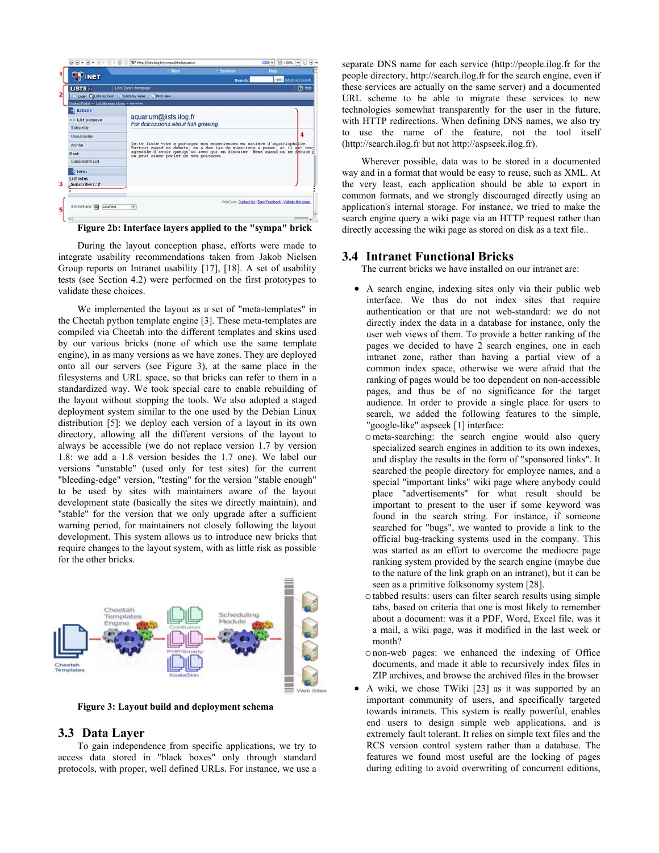

**Figure 2b: Interface layers applied to the "sympa" brick** 

During the layout conception phase, efforts were made to integrate usability recommendations taken from Jakob Nielsen Group reports on Intranet usability [17], [18]. A set of usability tests (see Section 4.2) were performed on the first prototypes to validate these choices.

We implemented the layout as a set of "meta-templates" in the Cheetah python template engine [3]. These meta-templates are compiled via Cheetah into the different templates and skins used by our various bricks (none of which use the same template engine), in as many versions as we have zones. They are deployed onto all our servers (see Figure 3), at the same place in the filesystems and URL space, so that bricks can refer to them in a standardized way. We took special care to enable rebuilding of the layout without stopping the tools. We also adopted a staged deployment system similar to the one used by the Debian Linux distribution [5]: we deploy each version of a layout in its own directory, allowing all the different versions of the layout to always be accessible (we do not replace version 1.7 by version 1.8: we add a 1.8 version besides the 1.7 one). We label our versions "unstable" (used only for test sites) for the current "bleeding-edge" version, "testing" for the version "stable enough" to be used by sites with maintainers aware of the layout development state (basically the sites we directly maintain), and "stable" for the version that we only upgrade after a sufficient warning period, for maintainers not closely following the layout development. This system allows us to introduce new bricks that require changes to the layout system, with as little risk as possible for the other bricks.



**Figure 3: Layout build and deployment schema** 

### **3.3 Data Layer**

To gain independence from specific applications, we try to access data stored in "black boxes" only through standard protocols, with proper, well defined URLs. For instance, we use a separate DNS name for each service (http://people.ilog.fr for the people directory, http://search.ilog.fr for the search engine, even if these services are actually on the same server) and a documented URL scheme to be able to migrate these services to new technologies somewhat transparently for the user in the future, with HTTP redirections. When defining DNS names, we also try to use the name of the feature, not the tool itself (http://search.ilog.fr but not http://aspseek.ilog.fr).

Wherever possible, data was to be stored in a documented way and in a format that would be easy to reuse, such as XML. At the very least, each application should be able to export in common formats, and we strongly discouraged directly using an application's internal storage. For instance, we tried to make the search engine query a wiki page via an HTTP request rather than directly accessing the wiki page as stored on disk as a text file..

#### **3.4 Intranet Functional Bricks**

The current bricks we have installed on our intranet are:

- A search engine, indexing sites only via their public web interface. We thus do not index sites that require authentication or that are not web-standard: we do not directly index the data in a database for instance, only the user web views of them. To provide a better ranking of the pages we decided to have 2 search engines, one in each intranet zone, rather than having a partial view of a common index space, otherwise we were afraid that the ranking of pages would be too dependent on non-accessible pages, and thus be of no significance for the target audience. In order to provide a single place for users to search, we added the following features to the simple, "google-like" aspseek [1] interface:
	- ometa-searching: the search engine would also query specialized search engines in addition to its own indexes, and display the results in the form of "sponsored links". It searched the people directory for employee names, and a special "important links" wiki page where anybody could place "advertisements" for what result should be important to present to the user if some keyword was found in the search string. For instance, if someone searched for "bugs", we wanted to provide a link to the official bug-tracking systems used in the company. This was started as an effort to overcome the mediocre page ranking system provided by the search engine (maybe due to the nature of the link graph on an intranet), but it can be seen as a primitive folksonomy system [28].
	- otabbed results: users can filter search results using simple tabs, based on criteria that one is most likely to remember about a document: was it a PDF, Word, Excel file, was it a mail, a wiki page, was it modified in the last week or month?
	- onon-web pages: we enhanced the indexing of Office documents, and made it able to recursively index files in ZIP archives, and browse the archived files in the browser
- A wiki, we chose TWiki [23] as it was supported by an important community of users, and specifically targeted towards intranets. This system is really powerful, enables end users to design simple web applications, and is extremely fault tolerant. It relies on simple text files and the RCS version control system rather than a database. The features we found most useful are the locking of pages during editing to avoid overwriting of concurrent editions,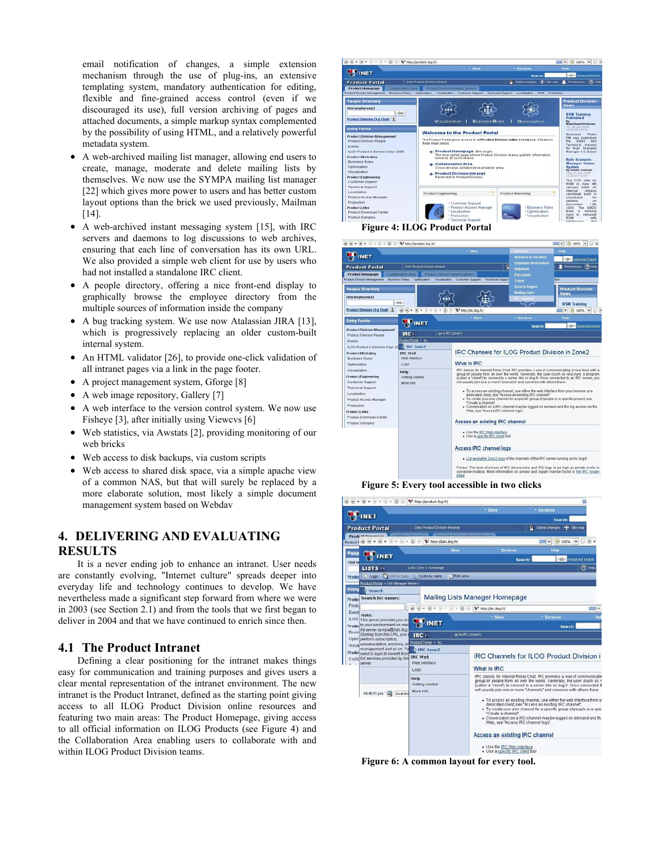email notification of changes, a simple extension mechanism through the use of plug-ins, an extensive templating system, mandatory authentication for editing, flexible and fine-grained access control (even if we discouraged its use), full version archiving of pages and attached documents, a simple markup syntax complemented by the possibility of using HTML, and a relatively powerful metadata system.

- A web-archived mailing list manager, allowing end users to create, manage, moderate and delete mailing lists by themselves. We now use the SYMPA mailing list manager [22] which gives more power to users and has better custom layout options than the brick we used previously, Mailman [14].
- A web-archived instant messaging system [15], with IRC servers and daemons to log discussions to web archives, ensuring that each line of conversation has its own URL. We also provided a simple web client for use by users who had not installed a standalone IRC client.
- A people directory, offering a nice front-end display to graphically browse the employee directory from the multiple sources of information inside the company
- A bug tracking system. We use now Atalassian JIRA [13], which is progressively replacing an older custom-built internal system.
- An HTML validator [26], to provide one-click validation of all intranet pages via a link in the page footer.
- A project management system, Gforge [8]
- A web image repository, Gallery [7]
- A web interface to the version control system. We now use Fisheye [3], after initially using Viewcvs [6]
- Web statistics, via Awstats [2], providing monitoring of our web bricks
- Web access to disk backups, via custom scripts
- Web access to shared disk space, via a simple apache view of a common NAS, but that will surely be replaced by a more elaborate solution, most likely a simple document management system based on Webdav

# **4. DELIVERING AND EVALUATING RESULTS**

It is a never ending job to enhance an intranet. User needs are constantly evolving, "Internet culture" spreads deeper into everyday life and technology continues to develop. We have nevertheless made a significant step forward from where we were in 2003 (see Section 2.1) and from the tools that we first began to deliver in 2004 and that we have continued to enrich since then.

# **4.1 The Product Intranet**

Defining a clear positioning for the intranet makes things easy for communication and training purposes and gives users a clear mental representation of the intranet environment. The new intranet is the Product Intranet, defined as the starting point giving access to all ILOG Product Division online resources and featuring two main areas: The Product Homepage, giving access to all official information on ILOG Products (see Figure 4) and the Collaboration Area enabling users to collaborate with and within ILOG Product Division teams.



**Figure 4: ILOG Product Portal**   $\textcircled{\scriptsize{0}} \ \textcircled{\scriptsize{v}} \ \textcircled{\scriptsize{v}} \ \textcircled{\scriptsize{v}} \ \textcircled{\scriptsize{v}} \ \textcircled{\scriptsize{v}} \ \textcircled{\scriptsize{v}} \ \textcircled{\scriptsize{v}} \ \textcircled{\scriptsize{v}} \ \textcircled{\scriptsize{v}} \ \textcircled{\scriptsize{v}} \ \textcircled{\scriptsize{v}} \ \textcircled{\scriptsize{v}} \ \textcircled{\scriptsize{v}} \ \textcircled{\scriptsize{v}} \ \textcircled{\scriptsize{v}} \ \textcircled{\scriptsize{v}} \ \textcircled{\scriptsize{v}} \ \textcircled{\scriptsize{v}} \ \textcircled{\scriptsize{v}} \$  $\frac{1}{\sqrt{2}}$ **PINET Los Product Portal** т  $\overline{\omega}$ Product Homepage People Directory 德  $550$ Find employee(s) **RSM Training** Product Division Ora Chart (E) (a) (a) v **Entry Points PEINET**  $\overline{\phantom{0}}$   $\overline{\phantom{0}}$ Product Division M: IRC R ILOG Pr  $1000000$ Exec Zone: IRC Channels for ILOG Product Division in Zone2 .<br>Preduct Marketing<br>Business Rules What is IRC Visualization<br>Product Engineerin<br>Customer Support<br>Technical Support<br>Localization<br>Product Access Ma<br>Product Access Ma Help<br>Getting started More info .<br>ple or a specific proj w be logged on demand and the log access via the **ProductLinks** cad Cente Access an existing IRC channel Product Samples - Use the <u>IRC Web interface</u><br>- Use a specific IRC client too Access IRC channel logs le Zone 2 logs of the channels of the IRC server running on irc.ilog.fr racy. The level of privacy of IRC discussions and IRC logs is as high as private m:<br>meone mailbox. More information on privacy and logger may be found in the IRC I

**Figure 5: Every tool accessible in two clicks** 



**Figure 6: A common layout for every tool.**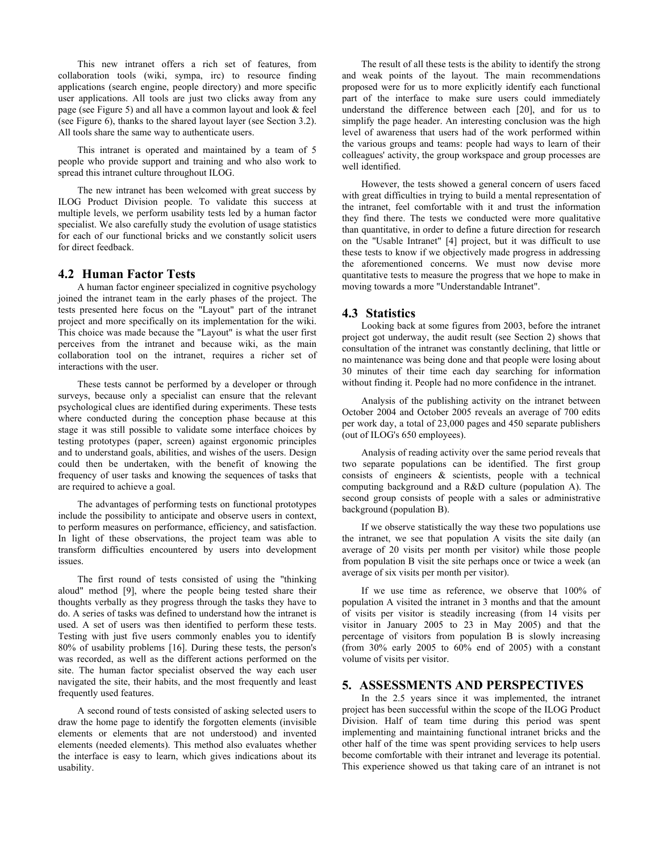This new intranet offers a rich set of features, from collaboration tools (wiki, sympa, irc) to resource finding applications (search engine, people directory) and more specific user applications. All tools are just two clicks away from any page (see Figure 5) and all have a common layout and look & feel (see Figure 6), thanks to the shared layout layer (see Section 3.2). All tools share the same way to authenticate users.

This intranet is operated and maintained by a team of 5 people who provide support and training and who also work to spread this intranet culture throughout ILOG.

The new intranet has been welcomed with great success by ILOG Product Division people. To validate this success at multiple levels, we perform usability tests led by a human factor specialist. We also carefully study the evolution of usage statistics for each of our functional bricks and we constantly solicit users for direct feedback.

### **4.2 Human Factor Tests**

A human factor engineer specialized in cognitive psychology joined the intranet team in the early phases of the project. The tests presented here focus on the "Layout" part of the intranet project and more specifically on its implementation for the wiki. This choice was made because the "Layout" is what the user first perceives from the intranet and because wiki, as the main collaboration tool on the intranet, requires a richer set of interactions with the user.

These tests cannot be performed by a developer or through surveys, because only a specialist can ensure that the relevant psychological clues are identified during experiments. These tests where conducted during the conception phase because at this stage it was still possible to validate some interface choices by testing prototypes (paper, screen) against ergonomic principles and to understand goals, abilities, and wishes of the users. Design could then be undertaken, with the benefit of knowing the frequency of user tasks and knowing the sequences of tasks that are required to achieve a goal.

The advantages of performing tests on functional prototypes include the possibility to anticipate and observe users in context, to perform measures on performance, efficiency, and satisfaction. In light of these observations, the project team was able to transform difficulties encountered by users into development issues.

The first round of tests consisted of using the "thinking aloud" method [9], where the people being tested share their thoughts verbally as they progress through the tasks they have to do. A series of tasks was defined to understand how the intranet is used. A set of users was then identified to perform these tests. Testing with just five users commonly enables you to identify 80% of usability problems [16]. During these tests, the person's was recorded, as well as the different actions performed on the site. The human factor specialist observed the way each user navigated the site, their habits, and the most frequently and least frequently used features.

A second round of tests consisted of asking selected users to draw the home page to identify the forgotten elements (invisible elements or elements that are not understood) and invented elements (needed elements). This method also evaluates whether the interface is easy to learn, which gives indications about its usability.

The result of all these tests is the ability to identify the strong and weak points of the layout. The main recommendations proposed were for us to more explicitly identify each functional part of the interface to make sure users could immediately understand the difference between each [20], and for us to simplify the page header. An interesting conclusion was the high level of awareness that users had of the work performed within the various groups and teams: people had ways to learn of their colleagues' activity, the group workspace and group processes are well identified.

However, the tests showed a general concern of users faced with great difficulties in trying to build a mental representation of the intranet, feel comfortable with it and trust the information they find there. The tests we conducted were more qualitative than quantitative, in order to define a future direction for research on the "Usable Intranet" [4] project, but it was difficult to use these tests to know if we objectively made progress in addressing the aforementioned concerns. We must now devise more quantitative tests to measure the progress that we hope to make in moving towards a more "Understandable Intranet".

# **4.3 Statistics**

Looking back at some figures from 2003, before the intranet project got underway, the audit result (see Section 2) shows that consultation of the intranet was constantly declining, that little or no maintenance was being done and that people were losing about 30 minutes of their time each day searching for information without finding it. People had no more confidence in the intranet.

Analysis of the publishing activity on the intranet between October 2004 and October 2005 reveals an average of 700 edits per work day, a total of 23,000 pages and 450 separate publishers (out of ILOG's 650 employees).

Analysis of reading activity over the same period reveals that two separate populations can be identified. The first group consists of engineers & scientists, people with a technical computing background and a R&D culture (population A). The second group consists of people with a sales or administrative background (population B).

If we observe statistically the way these two populations use the intranet, we see that population A visits the site daily (an average of 20 visits per month per visitor) while those people from population B visit the site perhaps once or twice a week (an average of six visits per month per visitor).

If we use time as reference, we observe that 100% of population A visited the intranet in 3 months and that the amount of visits per visitor is steadily increasing (from 14 visits per visitor in January 2005 to 23 in May 2005) and that the percentage of visitors from population B is slowly increasing (from 30% early 2005 to 60% end of 2005) with a constant volume of visits per visitor.

#### **5. ASSESSMENTS AND PERSPECTIVES**

In the 2.5 years since it was implemented, the intranet project has been successful within the scope of the ILOG Product Division. Half of team time during this period was spent implementing and maintaining functional intranet bricks and the other half of the time was spent providing services to help users become comfortable with their intranet and leverage its potential. This experience showed us that taking care of an intranet is not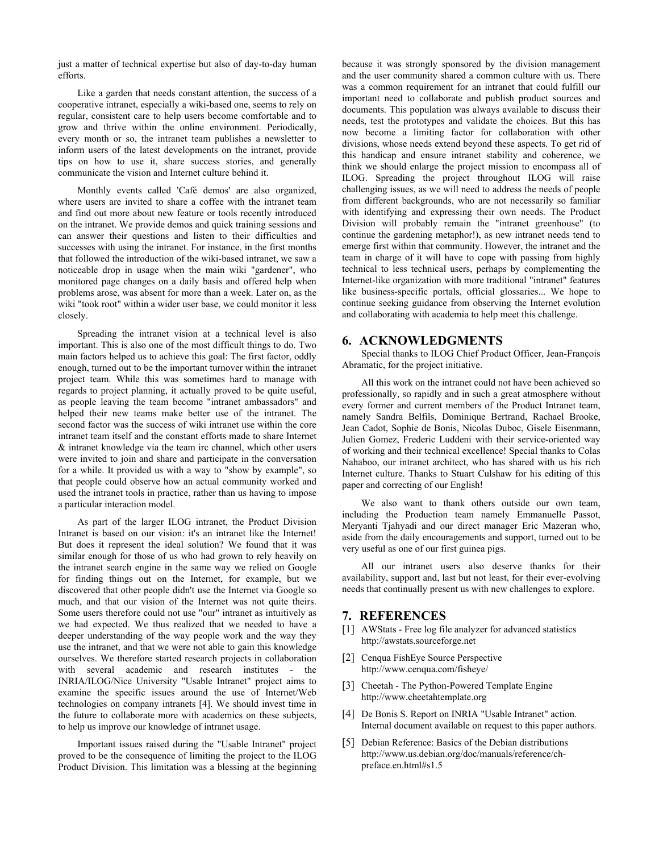just a matter of technical expertise but also of day-to-day human efforts.

Like a garden that needs constant attention, the success of a cooperative intranet, especially a wiki-based one, seems to rely on regular, consistent care to help users become comfortable and to grow and thrive within the online environment. Periodically, every month or so, the intranet team publishes a newsletter to inform users of the latest developments on the intranet, provide tips on how to use it, share success stories, and generally communicate the vision and Internet culture behind it.

Monthly events called 'Café demos' are also organized, where users are invited to share a coffee with the intranet team and find out more about new feature or tools recently introduced on the intranet. We provide demos and quick training sessions and can answer their questions and listen to their difficulties and successes with using the intranet. For instance, in the first months that followed the introduction of the wiki-based intranet, we saw a noticeable drop in usage when the main wiki "gardener", who monitored page changes on a daily basis and offered help when problems arose, was absent for more than a week. Later on, as the wiki "took root" within a wider user base, we could monitor it less closely.

Spreading the intranet vision at a technical level is also important. This is also one of the most difficult things to do. Two main factors helped us to achieve this goal: The first factor, oddly enough, turned out to be the important turnover within the intranet project team. While this was sometimes hard to manage with regards to project planning, it actually proved to be quite useful, as people leaving the team become "intranet ambassadors" and helped their new teams make better use of the intranet. The second factor was the success of wiki intranet use within the core intranet team itself and the constant efforts made to share Internet & intranet knowledge via the team irc channel, which other users were invited to join and share and participate in the conversation for a while. It provided us with a way to "show by example", so that people could observe how an actual community worked and used the intranet tools in practice, rather than us having to impose a particular interaction model.

As part of the larger ILOG intranet, the Product Division Intranet is based on our vision: it's an intranet like the Internet! But does it represent the ideal solution? We found that it was similar enough for those of us who had grown to rely heavily on the intranet search engine in the same way we relied on Google for finding things out on the Internet, for example, but we discovered that other people didn't use the Internet via Google so much, and that our vision of the Internet was not quite theirs. Some users therefore could not use "our" intranet as intuitively as we had expected. We thus realized that we needed to have a deeper understanding of the way people work and the way they use the intranet, and that we were not able to gain this knowledge ourselves. We therefore started research projects in collaboration with several academic and research institutes - the INRIA/ILOG/Nice University "Usable Intranet" project aims to examine the specific issues around the use of Internet/Web technologies on company intranets [4]. We should invest time in the future to collaborate more with academics on these subjects, to help us improve our knowledge of intranet usage.

Important issues raised during the "Usable Intranet" project proved to be the consequence of limiting the project to the ILOG Product Division. This limitation was a blessing at the beginning

because it was strongly sponsored by the division management and the user community shared a common culture with us. There was a common requirement for an intranet that could fulfill our important need to collaborate and publish product sources and documents. This population was always available to discuss their needs, test the prototypes and validate the choices. But this has now become a limiting factor for collaboration with other divisions, whose needs extend beyond these aspects. To get rid of this handicap and ensure intranet stability and coherence, we think we should enlarge the project mission to encompass all of ILOG. Spreading the project throughout ILOG will raise challenging issues, as we will need to address the needs of people from different backgrounds, who are not necessarily so familiar with identifying and expressing their own needs. The Product Division will probably remain the "intranet greenhouse" (to continue the gardening metaphor!), as new intranet needs tend to emerge first within that community. However, the intranet and the team in charge of it will have to cope with passing from highly technical to less technical users, perhaps by complementing the Internet-like organization with more traditional "intranet" features like business-specific portals, official glossaries... We hope to continue seeking guidance from observing the Internet evolution and collaborating with academia to help meet this challenge.

#### **6. ACKNOWLEDGMENTS**

Special thanks to ILOG Chief Product Officer, Jean-François Abramatic, for the project initiative.

All this work on the intranet could not have been achieved so professionally, so rapidly and in such a great atmosphere without every former and current members of the Product Intranet team, namely Sandra Belfils, Dominique Bertrand, Rachael Brooke, Jean Cadot, Sophie de Bonis, Nicolas Duboc, Gisele Eisenmann, Julien Gomez, Frederic Luddeni with their service-oriented way of working and their technical excellence! Special thanks to Colas Nahaboo, our intranet architect, who has shared with us his rich Internet culture. Thanks to Stuart Culshaw for his editing of this paper and correcting of our English!

We also want to thank others outside our own team, including the Production team namely Emmanuelle Passot, Meryanti Tjahyadi and our direct manager Eric Mazeran who, aside from the daily encouragements and support, turned out to be very useful as one of our first guinea pigs.

All our intranet users also deserve thanks for their availability, support and, last but not least, for their ever-evolving needs that continually present us with new challenges to explore.

# **7. REFERENCES**

- [1] AWStats Free log file analyzer for advanced statistics http://awstats.sourceforge.net
- [2] Cenqua FishEye Source Perspective http://www.cenqua.com/fisheye/
- [3] Cheetah The Python-Powered Template Engine http://www.cheetahtemplate.org
- [4] De Bonis S. Report on INRIA "Usable Intranet" action. Internal document available on request to this paper authors.
- [5] Debian Reference: Basics of the Debian distributions http://www.us.debian.org/doc/manuals/reference/chpreface.en.html#s1.5